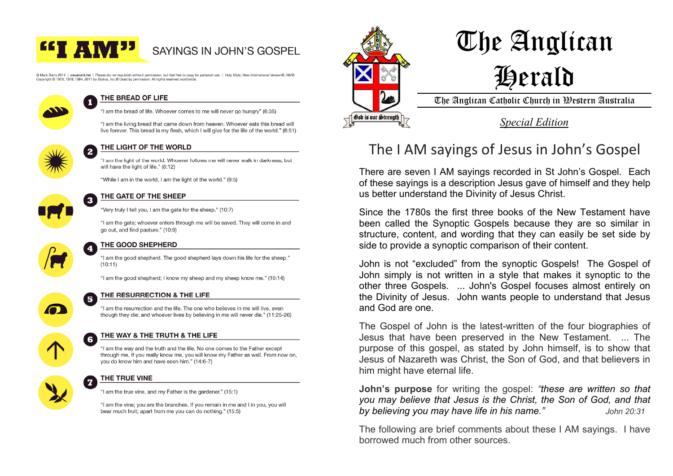

# SAYINGS IN JOHN'S GOSPEL

© Mark Barry 2014 Livisualunit me L Please do not republish without permission but feel free to copy for personal use. I Holy Bible, New International Version®, NIV® Copyright © 1973, 1978, 1984, 2011 by Biblica, Inc.® Used by permission. All rights reserved worldwide



### THE BREAD OF LIFE

"I am the bread of life. Whoever comes to me will never go hungry" (6:35)

"I am the living bread that came down from heaven. Whoever eats this bread will live forever. This bread is my flesh, which I will give for the life of the world." (6:51)



### THE LIGHT OF THE WORLD

"I am the light of the world. Whoever follows me will never walk in darkness, but will have the light of life." (8:12)

"While I am in the world. I am the light of the world." (9:5)



#### THE GATE OF THE SHEEP

"Very truly I tell you. I am the gate for the sheep." (10:7)

"I am the gate; whoever enters through me will be saved. They will come in and go out, and find pasture." (10:9)



### THE GOOD SHEPHERD

"I am the good shepherd. The good shepherd lays down his life for the sheep."  $(10:11)$ 

"I am the good shepherd; I know my sheep and my sheep know me." (10:14)



6

#### THE RESURRECTION & THE LIFE  $\overline{\mathbf{5}}$

"I am the resurrection and the life. The one who believes in me will live, even though they die; and whoever lives by believing in me will never die." (11:25-26)

### THE WAY & THE TRUTH & THE LIFE

"I am the way and the truth and the life. No one comes to the Father except through me. If you really know me, you will know my Father as well. From now on. you do know him and have seen him." (14:6-7)



### THE TRUE VINE

"I am the true vine, and my Father is the gardener." (15:1)

"I am the vine: you are the branches. If you remain in me and I in you, you will bear much fruit; apart from me you can do nothing." (15:5)



# The Anglican Herald

The Anglican Catholic Church in Western Australia

*Special Edition* 

# The I AM sayings of Jesus in John's Gospel

There are seven I AM sayings recorded in St John's Gospel. Each of these sayings is a description Jesus gave of himself and they help us better understand the Divinity of Jesus Christ.

Since the 1780s the first three books of the New Testament have been called the Synoptic Gospels because they are so similar in structure, content, and wording that they can easily be set side by side to provide a synoptic comparison of their content.

John is not "excluded" from the synoptic Gospels! The Gospel of John simply is not written in a style that makes it synoptic to the other three Gospels. ... John's Gospel focuses almost entirely on the Divinity of Jesus. John wants people to understand that Jesus and God are one.

The Gospel of John is the latest-written of the four biographies of Jesus that have been preserved in the New Testament. ... The purpose of this gospel, as stated by John himself, is to show that Jesus of Nazareth was Christ, the Son of God, and that believers in him might have eternal life.

**John's purpose** for writing the gospel: *"these are written so that you may believe that Jesus is the Christ, the Son of God, and that by believing you may have life in his name." John 20:31*

The following are brief comments about these I AM sayings. I have borrowed much from other sources.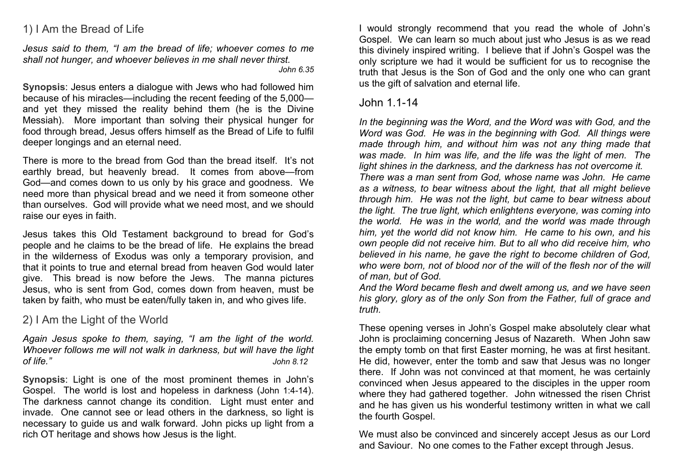# 1) I Am the Bread of Life

*Jesus said to them, "I am the bread of life; whoever comes to me shall not hunger, and whoever believes in me shall never thirst. John 6.35*

**Synopsis**: Jesus enters a dialogue with Jews who had followed him because of his miracles—including the recent feeding of the 5,000 and yet they missed the reality behind them (he is the Divine Messiah). More important than solving their physical hunger for food through bread, Jesus offers himself as the Bread of Life to fulfil deeper longings and an eternal need.

There is more to the bread from God than the bread itself. It's not earthly bread, but heavenly bread. It comes from above—from God—and comes down to us only by his grace and goodness. We need more than physical bread and we need it from someone other than ourselves. God will provide what we need most, and we should raise our eyes in faith.

Jesus takes this Old Testament background to bread for God's people and he claims to be the bread of life. He explains the bread in the wilderness of Exodus was only a temporary provision, and that it points to true and eternal bread from heaven God would later give. This bread is now before the Jews. The manna pictures Jesus, who is sent from God, comes down from heaven, must be taken by faith, who must be eaten/fully taken in, and who gives life.

# 2) I Am the Light of the World

*Again Jesus spoke to them, saying, "I am the light of the world. Whoever follows me will not walk in darkness, but will have the light of life." John 8.12*

**Synopsis**: Light is one of the most prominent themes in John's Gospel. The world is lost and hopeless in darkness (John 1:4-14). The darkness cannot change its condition. Light must enter and invade. One cannot see or lead others in the darkness, so light is necessary to guide us and walk forward. John picks up light from a rich OT heritage and shows how Jesus is the light.

I would strongly recommend that you read the whole of John's Gospel. We can learn so much about just who Jesus is as we read this divinely inspired writing. I believe that if John's Gospel was the only scripture we had it would be sufficient for us to recognise the truth that Jesus is the Son of God and the only one who can grant us the gift of salvation and eternal life.

# John 1.1-14

*In the beginning was the Word, and the Word was with God, and the Word was God. He was in the beginning with God. All things were made through him, and without him was not any thing made that was made. In him was life, and the life was the light of men. The light shines in the darkness, and the darkness has not overcome it. There was a man sent from God, whose name was John. He came as a witness, to bear witness about the light, that all might believe through him. He was not the light, but came to bear witness about the light. The true light, which enlightens everyone, was coming into the world. He was in the world, and the world was made through him, yet the world did not know him. He came to his own, and his own people did not receive him. But to all who did receive him, who believed in his name, he gave the right to become children of God, who were born, not of blood nor of the will of the flesh nor of the will of man, but of God.* 

*And the Word became flesh and dwelt among us, and we have seen his glory, glory as of the only Son from the Father, full of grace and truth.* 

These opening verses in John's Gospel make absolutely clear what John is proclaiming concerning Jesus of Nazareth. When John saw the empty tomb on that first Easter morning, he was at first hesitant. He did, however, enter the tomb and saw that Jesus was no longer there. If John was not convinced at that moment, he was certainly convinced when Jesus appeared to the disciples in the upper room where they had gathered together. John witnessed the risen Christ and he has given us his wonderful testimony written in what we call the fourth Gospel.

We must also be convinced and sincerely accept Jesus as our Lord and Saviour. No one comes to the Father except through Jesus.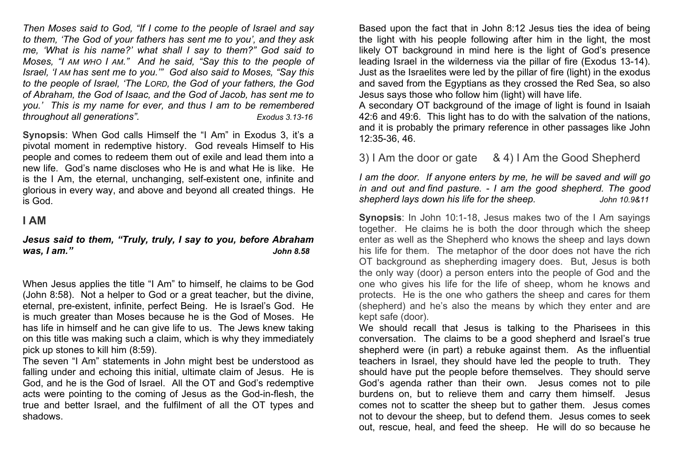*Then Moses said to God, "If I come to the people of Israel and say to them, 'The God of your fathers has sent me to you', and they ask me, 'What is his name?' what shall I say to them?" God said to Moses, "I AM WHO I AM." And he said, "Say this to the people of Israel, 'I AM has sent me to you.'" God also said to Moses, "Say this to the people of Israel, 'The LORD, the God of your fathers, the God of Abraham, the God of Isaac, and the God of Jacob, has sent me to you.' This is my name for ever, and thus I am to be remembered throughout all generations". Exodus 3.13-16*

**Synopsis**: When God calls Himself the "I Am" in Exodus 3, it's a pivotal moment in redemptive history. God reveals Himself to His people and comes to redeem them out of exile and lead them into a new life. God's name discloses who He is and what He is like. He is the I Am, the eternal, unchanging, self-existent one, infinite and glorious in every way, and above and beyond all created things. He is God.

## **I AM**

### *Jesus said to them, "Truly, truly, I say to you, before Abraham was, I am." John 8.58*

When Jesus applies the title "I Am" to himself, he claims to be God (John 8:58). Not a helper to God or a great teacher, but the divine, eternal, pre-existent, infinite, perfect Being. He is Israel's God. He is much greater than Moses because he is the God of Moses. He has life in himself and he can give life to us. The Jews knew taking on this title was making such a claim, which is why they immediately pick up stones to kill him (8:59).

The seven "I Am" statements in John might best be understood as falling under and echoing this initial, ultimate claim of Jesus. He is God, and he is the God of Israel. All the OT and God's redemptive acts were pointing to the coming of Jesus as the God-in-flesh, the true and better Israel, and the fulfilment of all the OT types and shadows.

Based upon the fact that in John 8:12 Jesus ties the idea of being the light with his people following after him in the light, the most likely OT background in mind here is the light of God's presence leading Israel in the wilderness via the pillar of fire (Exodus 13-14). Just as the Israelites were led by the pillar of fire (light) in the exodus and saved from the Egyptians as they crossed the Red Sea, so also Jesus says those who follow him (light) will have life.

A secondary OT background of the image of light is found in Isaiah 42:6 and 49:6. This light has to do with the salvation of the nations, and it is probably the primary reference in other passages like John 12:35-36, 46.

3) I Am the door or gate & 4) I Am the Good Shepherd

*I am the door. If anyone enters by me, he will be saved and will go in and out and find pasture. - I am the good shepherd. The good shepherd lays down his life for the sheep. John 10.9&11*

**Synopsis**: In John 10:1-18, Jesus makes two of the I Am sayings together. He claims he is both the door through which the sheep enter as well as the Shepherd who knows the sheep and lays down his life for them. The metaphor of the door does not have the rich OT background as shepherding imagery does. But, Jesus is both the only way (door) a person enters into the people of God and the one who gives his life for the life of sheep, whom he knows and protects. He is the one who gathers the sheep and cares for them (shepherd) and he's also the means by which they enter and are kept safe (door).

We should recall that Jesus is talking to the Pharisees in this conversation. The claims to be a good shepherd and Israel's true shepherd were (in part) a rebuke against them. As the influential teachers in Israel, they should have led the people to truth. They should have put the people before themselves. They should serve God's agenda rather than their own. Jesus comes not to pile burdens on, but to relieve them and carry them himself. Jesus comes not to scatter the sheep but to gather them. Jesus comes not to devour the sheep, but to defend them. Jesus comes to seek out, rescue, heal, and feed the sheep. He will do so because he